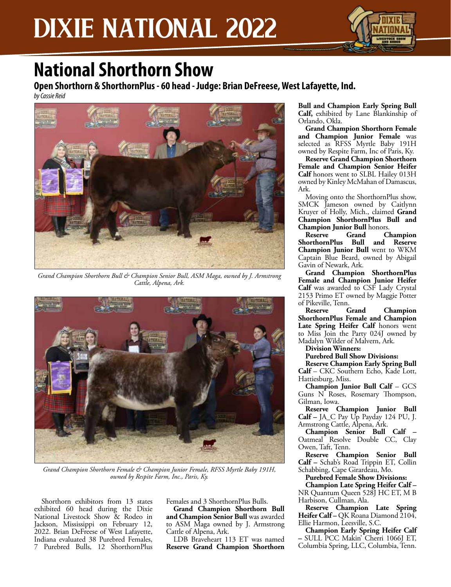

### **National Shorthorn Show**

**Open Shorthorn & ShorthornPlus - 60 head - Judge: Brian DeFreese, West Lafayette, Ind.**

*by Cassie Reid*



*Grand Champion Shorthorn Bull & Champion Senior Bull, ASM Maga, owned by J. Armstrong Cattle, Alpena, Ark.*



*Grand Champion Shorthorn Female & Champion Junior Female, RFSS Myrtle Baby 191H, owned by Respite Farm, Inc., Paris, Ky.*

Shorthorn exhibitors from 13 states exhibited 60 head during the Dixie National Livestock Show & Rodeo in Jackson, Mississippi on February 12, 2022. Brian DeFreese of West Lafayette, Indiana evaluated 38 Purebred Females, 7 Purebred Bulls, 12 ShorthornPlus

Females and 3 ShorthornPlus Bulls.

**Grand Champion Shorthorn Bull and Champion Senior Bull** was awarded to ASM Maga owned by J. Armstrong Cattle of Alpena, Ark.

LDB Braveheart 113 ET was named **Reserve Grand Champion Shorthorn**  **Bull and Champion Early Spring Bull Calf,** exhibited by Lane Blankinship of Orlando, Okla.

**Grand Champion Shorthorn Female and Champion Junior Female** was selected as RFSS Myrtle Baby 191H owned by Respite Farm, Inc of Paris, Ky.

**Reserve Grand Champion Shorthorn Female and Champion Senior Heifer Calf** honors went to SLBL Hailey 013H owned by Kinley McMahan of Damascus, Ark.

Moving onto the ShorthornPlus show, SMCK Jameson owned by Caitlynn Kruyer of Holly, Mich., claimed **Grand Champion ShorthornPlus Bull and** 

**Champion Junior Bull honors.**<br> **Reserve Grand Cl Champion ShorthornPlus Bull and Reserve Champion Junior Bull** went to WKM Captain Blue Beard, owned by Abigail Gavin of Newark, Ark.

**Grand Champion ShorthornPlus Female and Champion Junior Heifer Calf** was awarded to CSF Lady Crystal 2153 Primo ET owned by Maggie Potter

of Pikeville, Tenn.<br>Reserve Grand **Champion ShorthornPlus Female and Champion**  Late Spring Heifer Calf honors went to Miss Join the Party 024J owned by Madalyn Wilder of Malvern, Ark.

**Division Winners:**

**Purebred Bull Show Divisions:**

**Reserve Champion Early Spring Bull Calf** – CKC Southern Echo, Kade Lott, Hattiesburg, Miss.

**Champion Junior Bull Calf** – GCS Guns N Roses, Rosemary Thompson, Gilman, Iowa.

**Reserve Champion Junior Bull Calf –** JA\_C Pay Up Payday 124 PU, J. Armstrong Cattle, Alpena, Ark.

**Champion Senior Bull Calf –** Oatmeal Resolve Double CC, Clay Owen, Taft, Tenn.

**Reserve Champion Senior Bull Calf –** Schab's Road Trippin ET, Collin Schabbing, Cape Girardeau, Mo.

**Purebred Female Show Divisions:**

**Champion Late Spring Heifer Calf –** NR Quantum Queen 528J HC ET, M B Harbison, Cullman, Ala.

**Reserve Champion Late Spring Heifer Calf –** QK Roana Diamond 2104, Ellie Harmon, Leesville, S.C.

**Champion Early Spring Heifer Calf –** SULL PCC Makin' Cherri 1066J ET, Columbia Spring, LLC, Columbia, Tenn.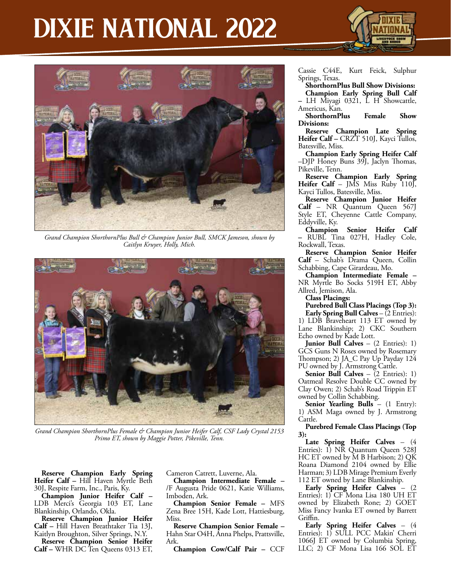### DIXIE NATIONAL 2022





*Grand Champion ShorthornPlus Bull & Champion Junior Bull, SMCK Jameson, shown by Caitlyn Kruyer, Holly, Mich.*



*Grand Champion ShorthornPlus Female & Champion Junior Heifer Calf, CSF Lady Crystal 2153 Primo ET, shown by Maggie Potter, Pikeville, Tenn.*

**Reserve Champion Early Spring Heifer Calf –** Hill Haven Myrtle Beth 30J, Respite Farm, Inc., Paris, Ky.

**Champion Junior Heifer Calf –**  LDB Merci's Georgia 103 ET, Lane Blankinship, Orlando, Okla.

**Reserve Champion Junior Heifer Calf –** Hill Haven Breathtaker Tia 13J, Kaitlyn Broughton, Silver Springs, N.Y.

**Reserve Champion Senior Heifer Calf –** WHR DC Ten Queens 0313 ET, Cameron Catrett, Luverne, Ala.

**Champion Intermediate Female –**  /F Augusta Pride 0621, Katie Williams, Imboden, Ark.

**Champion Senior Female –** MFS Zena Bree 15H, Kade Lott, Hattiesburg, Miss.

**Reserve Champion Senior Female –**  Hahn Star O4H, Anna Phelps, Prattsville, Ark.

**Champion Cow/Calf Pair –** CCF

Cassie C44E, Kurt Feick, Sulphur Springs, Texas.

**ShorthornPlus Bull Show Divisions: Champion Early Spring Bull Calf –** LH Miyagi 0321, L H Showcattle,

Americus, Kan. **ShorthornPlus Female Show Divisions:**

**Reserve Champion Late Spring Heifer Calf –** CRZT 510J, Kayci Tullos, Batesville, Miss.

**Champion Early Spring Heifer Calf**  –DJP Honey Buns 39J, Jaclyn Thomas, Pikeville, Tenn.

**Reserve Champion Early Spring Heifer Calf** – JMS Miss Ruby 110J, Kayci Tullos, Batesville, Miss.

**Reserve Champion Junior Heifer Calf** – NR Quantum Queen 567J Style ET, Cheyenne Cattle Company, Eddyville, Ky.

**Champion Senior Heifer Calf –** RUBL Tina 027H, Hadley Cole, Rockwall, Texas.

**Reserve Champion Senior Heifer Calf** – Schab's Drama Queen, Collin Schabbing, Cape Girardeau, Mo.

**Champion Intermediate Female –**  NR Myrtle Bo Socks 519H ET, Abby Allred, Jemison, Ala.

**Class Placings:**

**Purebred Bull Class Placings (Top 3): Early Spring Bull Calves** – (2 Entries):

1) LDB Braveheart 113 ET owned by Lane Blankinship; 2) CKC Southern Echo owned by Kade Lott.

**Junior Bull Calves** – (2 Entries): 1) GCS Guns N Roses owned by Rosemary Thompson; 2) JA\_C Pay Up Payday 124 PU owned by J. Armstrong Cattle.

**Senior Bull Calves** – (2 Entries): 1) Oatmeal Resolve Double CC owned by Clay Owen; 2) Schab's Road Trippin ET owned by Collin Schabbing.

**Senior Yearling Bulls** – (1 Entry): 1) ASM Maga owned by J. Armstrong Cattle.

**Purebred Female Class Placings (Top 3):**

**Late Spring Heifer Calves** – (4 Entries): 1) NR Quantum Queen 528J HC ET owned by M B Harbison; 2) QK Roana Diamond 2104 owned by Ellie Harman; 3) LDB Mirage Premium Everly 112 ET owned by Lane Blankinship.

**Early Spring Heifer Calves** – (2 Entries): 1) CF Mona Lisa 180 UH ET owned by Elizabeth Rone; 2) GOET Miss Fancy Ivanka ET owned by Barrett Griffin.

**Early Spring Heifer Calves** – (4 Entries): 1) SULL PCC Makin' Cherri 1066J ET owned by Columbia Spring, LLC; 2) CF Mona Lisa 166 SOL ET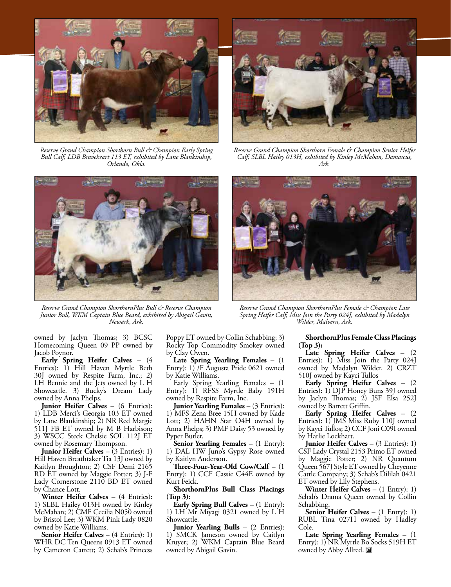

*Reserve Grand Champion Shorthorn Bull & Champion Early Spring Bull Calf, LDB Braveheart 113 ET, exhibited by Lane Blankinship, Orlando, Okla.*



*Reserve Grand Champion ShorthornPlus Bull & Reserve Champion Junior Bull, WKM Captain Blue Beard, exhibited by Abigail Gavin, Newark, Ark.*



*Reserve Grand Champion Shorthorn Female & Champion Senior Heifer Calf, SLBL Hailey 013H, exhibited by Kinley McMahan, Damascus, Ark.*



*Reserve Grand Champion ShorthornPlus Female & Champion Late Spring Heifer Calf, Miss Join the Party 024J, exhibited by Madalyn Wilder, Malvern, Ark.*

owned by Jaclyn Thomas; 3) BCSC Homecoming Queen 09 PP owned by Jacob Poynor.

**Early Spring Heifer Calves** – (4 Entries): 1) Hill Haven Myrtle Beth 30J owned by Respite Farm, Inc.; 2) LH Bennie and the Jets owned by L H Showcattle. 3) Bucky's Dream Lady owned by Anna Phelps.

**Junior Heifer Calves** – (6 Entries): 1) LDB Merci's Georgia 103 ET owned by Lane Blankinship; 2) NR Red Margie 511J FB ET owned by M B Harbison; 3) WSCC Steck Chelsie SOL 112J ET owned by Rosemary Thompson.

**Junior Heifer Calves** – (3 Entries): 1) Hill Haven Breathtaker Tia 13J owned by Kaitlyn Broughton; 2) CSF Demi 2165 RD ET owned by Maggie Potter; 3) J-F Lady Cornerstone 2110 BD ET owned by Chance Lott.

**Winter Heifer Calves** – (4 Entries): 1) SLBL Hailey 013H owned by Kinley McMahan; 2) CMF Cecilia N050 owned by Bristol Lee; 3) WKM Pink Lady 0820 owned by Katie Williams.

**Senior Heifer Calves** – (4 Entries): 1) WHR DC Ten Queens 0913 ET owned by Cameron Catrett; 2) Schab's Princess Poppy ET owned by Collin Schabbing; 3) Rocky Top Commodity Smokey owned by Clay Owen.

**Late Spring Yearling Females** – (1 Entry): 1) /F Augusta Pride 0621 owned by Katie Williams.

Early Spring Yearling Females – (1 Entry): 1) RFSS Myrtle Baby 191H owned by Respite Farm, Inc.

**Junior Yearling Females** – (3 Entries): 1) MFS Zena Bree 15H owned by Kade Lott; 2) HAHN Star O4H owned by Anna Phelps; 3) PMF Daisy 53 owned by Pyper Butler.

**Senior Yearling Females** – (1 Entry): 1) DAL HW Juno's Gypsy Rose owned by Kaitlyn Anderson.

**Three-Four-Year-Old Cow/Calf** – (1 Entry): 1) CCF Cassie C44E owned by Kurt Feick.

**ShorthornPlus Bull Class Placings (Top 3):**

**Early Spring Bull Calves** – (1 Entry): 1) LH Mr Miyagi 0321 owned by L H Showcattle.

**Junior Yearling Bulls** – (2 Entries): 1) SMCK Jameson owned by Caitlyn Kruyer; 2) WKM Captain Blue Beard owned by Abigail Gavin.

**ShorthornPlus Female Class Placings (Top 3):**

**Late Spring Heifer Calves** – (2 Entries): 1) Miss Join the Party 024J owned by Madalyn Wilder. 2) CRZT 510J owned by Kayci Tullos

**Early Spring Heifer Calves** – (2 Entries): 1) DJP Honey Buns 39J owned by Jaclyn Thomas; 2) JSF Elsa 252J owned by Barrett Griffin.

**Early Spring Heifer Calves** – (2 Entries): 1) JMS Miss Ruby 110J owned by Kayci Tullos; 2) CCF Joni C09I owned by Harlie Lockhart.

**Junior Heifer Calves** – (3 Entries): 1) CSF Lady Crystal 2153 Primo ET owned by Maggie Potter; 2) NR Quantum Queen 567J Style ET owned by Cheyenne Cattle Company; 3) Schab's Dililah 0421 ET owned by Lily Stephens.

**Winter Heifer Calves** – (1 Entry): 1) Schab's Drama Queen owned by Collin Schabbing.

**Senior Heifer Calves** – (1 Entry): 1) RUBL Tina 027H owned by Hadley Cole.

**Late Spring Yearling Females** – (1 Entry): 1) NR Myrtle Bo Socks 519H ET owned by Abby Allred. **圖**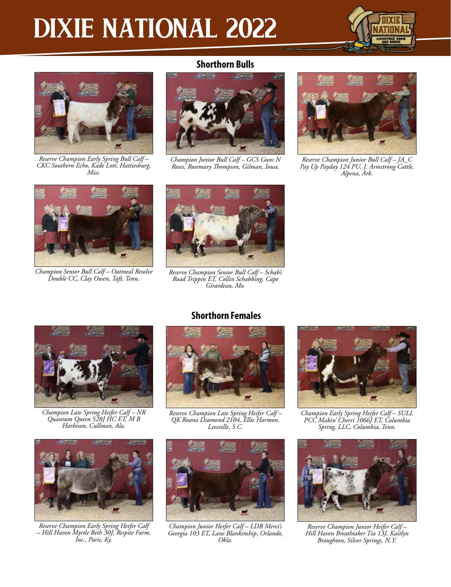# DIXIE NATIONAL 2022





*Reserve Champion Early Spring Bull Calf – CKC Southern Echo, Kade Lott, Hattiesburg, Miss.*

#### **Shorthorn Bulls**



*Champion Junior Bull Calf – GCS Guns N Roses, Rosemary Thompson, Gilman, Iowa.*



*Reserve Champion Junior Bull Calf – JA\_C Pay Up Payday 124 PU, J. Armstrong Cattle, Alpena, Ark.*



*Champion Senior Bull Calf – Oatmeal Resolve Double CC, Clay Owen, Taft, Tenn.*



*Reserve Champion Senior Bull Calf – Schab's Road Trippin ET, Collin Schabbing, Cape Girardeau, Mo.*



*Champion Late Spring Heifer Calf – NR Quantum Queen 528J HC ET, M B Harbison, Cullman, Ala.*



*Reserve Champion Early Spring Heifer Calf – Hill Haven Myrtle Beth 30J, Respite Farm, Inc., Paris, Ky.*

#### **Shorthorn Females**



*Reserve Champion Late Spring Heifer Calf – QK Roana Diamond 2104, Ellie Harmon, Leesville, S.C.*



*Champion Junior Heifer Calf – LDB Merci's Georgia 103 ET, Lane Blankinship, Orlando, Okla.*



*Champion Early Spring Heifer Calf – SULL PCC Makin' Cherri 1066J ET, Columbia Spring, LLC, Columbia, Tenn.*



*Reserve Champion Junior Heifer Calf – Hill Haven Breathtaker Tia 13J, Kaitlyn Broughton, Silver Springs, N.Y.*